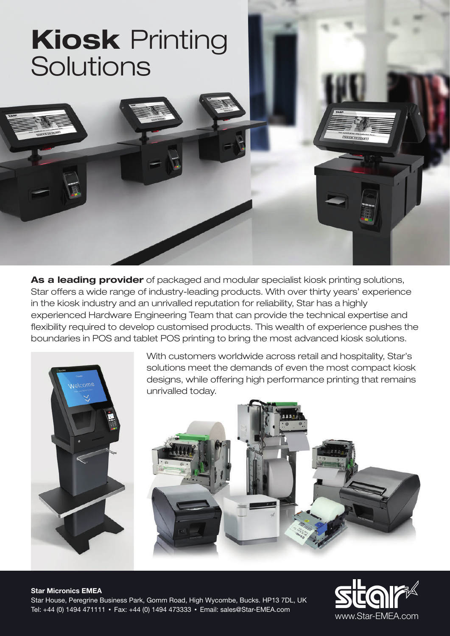# **Kiosk** Printing **Solutions**

**As a leading provider** of packaged and modular specialist kiosk printing solutions, Star offers a wide range of industry-leading products. With over thirty years' experience in the kiosk industry and an unrivalled reputation for reliability, Star has a highly experienced Hardware Engineering Team that can provide the technical expertise and flexibility required to develop customised products. This wealth of experience pushes the boundaries in POS and tablet POS printing to bring the most advanced kiosk solutions.



With customers worldwide across retail and hospitality, Star's solutions meet the demands of even the most compact kiosk designs, while offering high performance printing that remains unrivalled today.



### **Star Micronics EMEA** Star House, Peregrine Business Park, Gomm Road, High Wycombe, Bucks. HP13 7DL, UK Tel: +44 (0) 1494 471111 • Fax: +44 (0) 1494 473333 • Email: sales@Star-EMEA.com

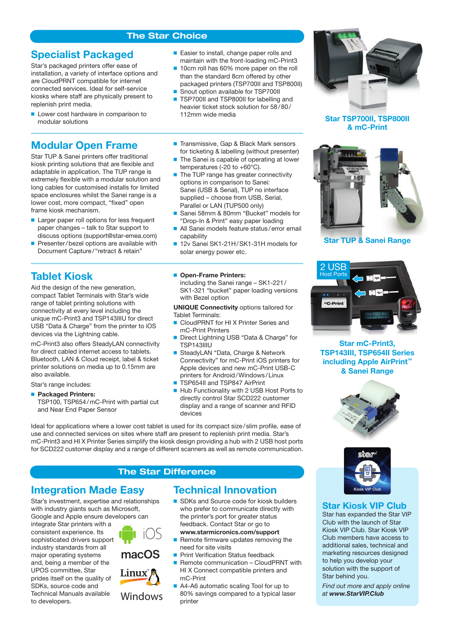### **The Star Choice**

## **Specialist Packaged**

Star's packaged printers offer ease of installation, a variety of interface options and are CloudPRNT compatible for internet connected services. Ideal for self-service kiosks where staff are physically present to replenish print media.

**Lower cost hardware in comparison to** modular solutions

## **Modular Open Frame**

Star TUP & Sanei printers offer traditional kiosk printing solutions that are flexible and adaptable in application. The TUP range is extremely flexible with a modular solution and long cables for customised installs for limited space enclosures whilst the Sanei range is a lower cost, more compact, "fixed" open frame kiosk mechanism.

- **Larger paper roll options for less frequent** paper changes – talk to Star support to discuss options (support@star-emea.com)
- Presenter/bezel options are available with Document Capture / "retract & retain"

## **Tablet Kiosk**

Aid the design of the new generation, compact Tablet Terminals with Star's wide range of tablet printing solutions with connectivity at every level including the unique mC-Print3 and TSP143IIIU for direct USB "Data & Charge" from the printer to iOS devices via the Lightning cable.

mC-Print3 also offers SteadyLAN connectivity for direct cabled internet access to tablets. Bluetooth, LAN & Cloud receipt, label & ticket printer solutions on media up to 0.15mm are also available.

Star's range includes:

**Packaged Printers:** 

TSP100, TSP654 / mC-Print with partial cut and Near End Paper Sensor

- Easier to install, change paper rolls and maintain with the front-loading mC-Print3
- 10cm roll has 60% more paper on the roll than the standard 8cm offered by other
- packaged printers (TSP700II and TSP800II) ■ Snout option available for TSP700II
- TSP700II and TSP800II for labelling and
- heavier ticket stock solution for 58/80/ 112mm wide media
- Transmissive, Gap & Black Mark sensors for ticketing & labelling (without presenter)
- $\blacksquare$  The Sanei is capable of operating at lower temperatures (-20 to +60°C).
- The TUP range has greater connectivity options in comparison to Sanei: Sanei (USB & Serial), TUP no interface supplied – choose from USB, Serial, Parallel or LAN (TUP500 only)
- Sanei 58mm & 80mm "Bucket" models for "Drop-In & Print" easy paper loading
- All Sanei models feature status/error email capability
- 12v Sanei SK1-21H/SK1-31H models for solar energy power etc.

#### **Open-Frame Printers:**

including the Sanei range – SK1-221 / SK1-321 "bucket" paper loading versions with Bezel option

**UNIQUE Connectivity** options tailored for Tablet Terminals:

- CloudPRNT for HI X Printer Series and mC-Print Printers
- Direct Lightning USB "Data & Charge" for TSP143IIIU
- SteadyLAN "Data, Charge & Network Connectivity" for mC-Print iOS printers for Apple devices and new mC-Print USB-C printers for Android / Windows / Linux
- TSP654II and TSP847 AirPrint
- Hub Functionality with 2 USB Host Ports to directly control Star SCD222 customer display and a range of scanner and RFID devices

Ideal for applications where a lower cost tablet is used for its compact size / slim profile, ease of use and connected services on sites where staff are present to replenish print media. Star's mC-Print3 and HI X Printer Series simplify the kiosk design providing a hub with 2 USB host ports for SCD222 customer display and a range of different scanners as well as remote communication.

### **The Star Difference**

### **Integration Made Easy**

Star's investment, expertise and relationships with industry giants such as Microsoft, Google and Apple ensure developers can

integrate Star printers with a consistent experience. Its sophisticated drivers support industry standards from all major operating systems and, being a member of the UPOS committee, Star prides itself on the quality of SDKs, source code and Technical Manuals available to developers.



- Remote firmware updates removing the need for site visits
- Print Verification Status feedback

**Technical Innovation**

- Remote communication CloudPRNT with HI X Connect compatible printers and mC-Print
- A4-A6 automatic scaling Tool for up to 80% savings compared to a typical laser printer



**Star TSP700II, TSP800II & mC-Print**



**Star TUP & Sanei Range**



**Star mC-Print3, TSP143III, TSP654II Series including Apple AirPrint™ & Sanei Range**





### **Star Kiosk VIP Club**

Star has expanded the Star VIP Club with the launch of Star Kiosk VIP Club. Star Kiosk VIP Club members have access to additional sales, technical and marketing resources designed to help you develop your solution with the support of Star behind you.

*Find out more and apply online at www.StarVIP.Club*





Windows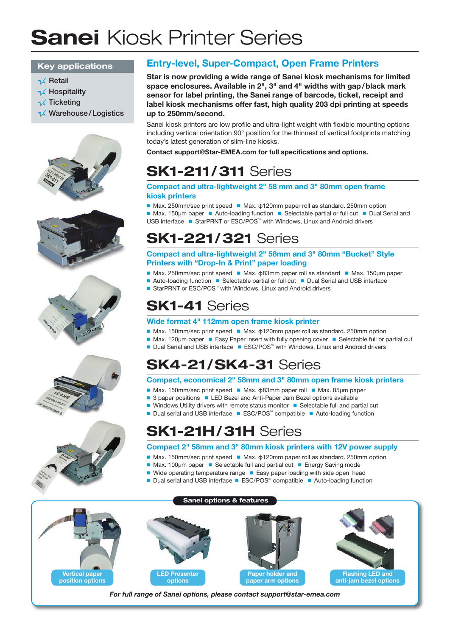# **Sanei** Kiosk Printer Series

### **Key applications**

- $\prec$  Retail
- $\prec$  Hospitality
- **A** Ticketing
- **K** Warehouse/Logistics











## **Entry-level, Super-Compact, Open Frame Printers**

**Star is now providing a wide range of Sanei kiosk mechanisms for limited space enclosures. Available in 2", 3" and 4" widths with gap / black mark sensor for label printing, the Sanei range of barcode, ticket, receipt and label kiosk mechanisms offer fast, high quality 203 dpi printing at speeds up to 250mm/second.**

Sanei kiosk printers are low profile and ultra-light weight with flexible mounting options including vertical orientation 90° position for the thinnest of vertical footprints matching today's latest generation of slim-line kiosks.

**Contact support@Star-EMEA.com for full specifications and options.**

# **SK1-211/ 311** Series

### **Compact and ultra-lightweight 2" 58 mm and 3" 80mm open frame kiosk printers**

Max. 250mm/sec print speed **Max. φ120mm paper roll as standard. 250mm option**  $\blacksquare$  Max. 150µm paper  $\blacksquare$  Auto-loading function  $\blacksquare$  Selectable partial or full cut  $\blacksquare$  Dual Serial and USB interface ■ StarPRNT or ESC/POS<sup>™</sup> with Windows, Linux and Android drivers

# **SK1-221/ 321** Series

**Compact and ultra-lightweight 2" 58mm and 3" 80mm "Bucket" Style Printers with "Drop-In & Print" paper loading**

- Max. 250mm/sec print speed **Max. φ83mm paper roll as standard Max. 150**µm paper
- $\blacksquare$  Auto-loading function  $\blacksquare$  Selectable partial or full cut  $\blacksquare$  Dual Serial and USB interface
- $\blacksquare$  StarPRNT or ESC/POS<sup> $m$ </sup> with Windows, Linux and Android drivers

# **SK1-41** Series

### **Wide format 4" 112mm open frame kiosk printer**

- **Max. 150mm/sec print speed**  Max. φ120mm paper roll as standard. 250mm option
- Max. 120µm paper Easy Paper insert with fully opening cover Selectable full or partial cut
- Dual Serial and USB interface  $\blacksquare$  ESC/POS<sup>tor</sup> with Windows, Linux and Android drivers

# **SK4-21/ SK4-31** Series

### **Compact, economical 2" 58mm and 3" 80mm open frame kiosk printers**

- **Max. 150mm/sec print speed Max. φ83mm paper roll Max. 85µm paper**
- 3 paper positions LED Bezel and Anti-Paper Jam Bezel options available
- Windows Utility drivers with remote status monitor Selectable full and partial cut
- Dual serial and USB interface ESC/POS<sup>™</sup> compatible Auto-loading function

# **SK1-21H/ 31H** Series

### **Compact 2" 58mm and 3" 80mm kiosk printers with 12V power supply**

- **■** Max. 150mm/sec print speed Max. φ120mm paper roll as standard. 250mm option
- Max. 100µm paper Selectable full and partial cut Energy Saving mode
- Wide operating temperature range Easy paper loading with side open head
- Dual serial and USB interface ESC/POS<sup>™</sup> compatible Auto-loading function



*For full range of Sanei options, please contact support@star-emea.com*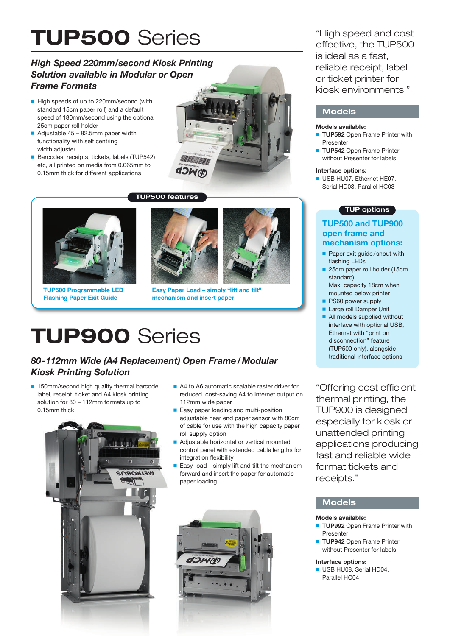# **TUP500** Series

### *High Speed 220mm/second Kiosk Printing Solution available in Modular or Open Frame Formats*

- High speeds of up to 220mm/second (with standard 15cm paper roll) and a default speed of 180mm/second using the optional 25cm paper roll holder
- Adjustable  $45 82.5$ mm paper width functionality with self centring width adjuster
- Barcodes, receipts, tickets, labels (TUP542) etc, all printed on media from 0.065mm to 0.15mm thick for different applications



### **TUP500 features**



**TUP500 Programmable LED Flashing Paper Exit Guide**



**Easy Paper Load – simply "lift and tilt" mechanism and insert paper**

# **TUP900** Series

### *80-112mm Wide (A4 Replacement) Open Frame / Modular Kiosk Printing Solution*

■ 150mm/second high quality thermal barcode, label, receipt, ticket and A4 kiosk printing solution for 80 – 112mm formats up to 0.15mm thick



- A4 to A6 automatic scalable raster driver for reduced, cost-saving A4 to Internet output on 112mm wide paper
- Easy paper loading and multi-position adjustable near end paper sensor with 80cm of cable for use with the high capacity paper roll supply option
- Adjustable horizontal or vertical mounted control panel with extended cable lengths for integration flexibility
- Easy-load simply lift and tilt the mechanism forward and insert the paper for automatic paper loading



"High speed and cost effective, the TUP500 is ideal as a fast, reliable receipt, label or ticket printer for kiosk environments."

### **Models**

### **Models available:**

- **TUP592 Open Frame Printer with** Presenter
- **TUP542 Open Frame Printer** without Presenter for labels

#### **Interface options:**

USB HU07, Ethernet HE07, Serial HD03, Parallel HC03

#### **TUP options**

### **TUP500 and TUP900 open frame and mechanism options:**

- **Paper exit guide/snout with** flashing LEDs
- 25cm paper roll holder (15cm standard) Max. capacity 18cm when
- mounted below printer
- **PS60 power supply Large roll Damper Unit**
- 
- **All models supplied without** interface with optional USB, Ethernet with "print on disconnection" feature (TUP500 only), alongside traditional interface options

"Offering cost efficient thermal printing, the TUP900 is designed especially for kiosk or unattended printing applications producing fast and reliable wide format tickets and receipts."

### **Models**

#### **Models available:**

- **TUP992** Open Frame Printer with Presenter
- **TUP942 Open Frame Printer** without Presenter for labels

#### **Interface options:**

USB HU08, Serial HD04, Parallel HC04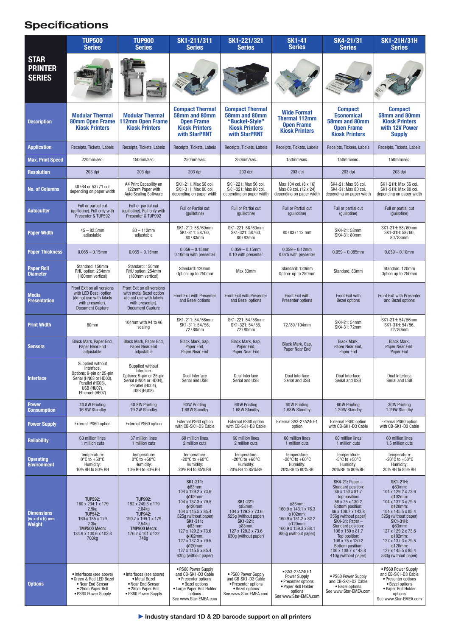# **Specifications**

|                                                           | <b>TUP500</b><br><b>Series</b>                                                                                                                           | <b>TUP900</b><br><b>Series</b>                                                                                                                   | SK1-211/311<br><b>Series</b>                                                                                                                                                                                                                                                   | SK1-221/321<br><b>Series</b>                                                                                                         | <b>SK1-41</b><br><b>Series</b>                                                                                                     | SK4-21/31<br><b>Series</b>                                                                                                                                                                                                                                                                                                                        | <b>SK1-21H/31H</b><br><b>Series</b>                                                                                                                                                                                                                                                                                        |
|-----------------------------------------------------------|----------------------------------------------------------------------------------------------------------------------------------------------------------|--------------------------------------------------------------------------------------------------------------------------------------------------|--------------------------------------------------------------------------------------------------------------------------------------------------------------------------------------------------------------------------------------------------------------------------------|--------------------------------------------------------------------------------------------------------------------------------------|------------------------------------------------------------------------------------------------------------------------------------|---------------------------------------------------------------------------------------------------------------------------------------------------------------------------------------------------------------------------------------------------------------------------------------------------------------------------------------------------|----------------------------------------------------------------------------------------------------------------------------------------------------------------------------------------------------------------------------------------------------------------------------------------------------------------------------|
| <b>STAR</b><br><b>PRINTER</b><br><b>SERIES</b>            |                                                                                                                                                          |                                                                                                                                                  |                                                                                                                                                                                                                                                                                |                                                                                                                                      |                                                                                                                                    |                                                                                                                                                                                                                                                                                                                                                   |                                                                                                                                                                                                                                                                                                                            |
| <b>Description</b>                                        | <b>Modular Thermal</b><br><b>80mm Open Frame</b><br><b>Kiosk Printers</b>                                                                                | <b>Modular Thermal</b><br>112mm Open Frame<br><b>Kiosk Printers</b>                                                                              | <b>Compact Thermal</b><br>58mm and 80mm<br><b>Open Frame</b><br><b>Kiosk Printers</b><br>with StarPRNT                                                                                                                                                                         | <b>Compact Thermal</b><br>58mm and 80mm<br>"Bucket-Style"<br><b>Kiosk Printers</b><br>with StarPRNT                                  | <b>Wide Format</b><br><b>Thermal 112mm</b><br><b>Open Frame</b><br><b>Kiosk Printers</b>                                           | <b>Compact</b><br><b>Economical</b><br>58mm and 80mm<br><b>Open Frame</b><br><b>Kiosk Printers</b>                                                                                                                                                                                                                                                | <b>Compact</b><br>58mm and 80mm<br><b>Kiosk Printers</b><br>with 12V Power<br><b>Supply</b>                                                                                                                                                                                                                                |
| <b>Application</b>                                        | Receipts, Tickets, Labels                                                                                                                                | Receipts, Tickets, Labels                                                                                                                        | Receipts, Tickets, Labels                                                                                                                                                                                                                                                      | Receipts, Tickets, Labels                                                                                                            | Receipts, Tickets, Labels                                                                                                          | Receipts, Tickets, Labels                                                                                                                                                                                                                                                                                                                         | Receipts, Tickets, Labels                                                                                                                                                                                                                                                                                                  |
| <b>Max. Print Speed</b>                                   | 220mm/sec.                                                                                                                                               | 150mm/sec.                                                                                                                                       | 250mm/sec.                                                                                                                                                                                                                                                                     | 250mm/sec.                                                                                                                           | 150mm/sec.                                                                                                                         | 150mm/sec.                                                                                                                                                                                                                                                                                                                                        | 150mm/sec.                                                                                                                                                                                                                                                                                                                 |
| <b>Resolution</b>                                         | 203 dpi                                                                                                                                                  | 203 dpi                                                                                                                                          | 203 dpi                                                                                                                                                                                                                                                                        | 203 dpi                                                                                                                              | 203 dpi                                                                                                                            | $203$ dpi                                                                                                                                                                                                                                                                                                                                         | 203 dpi                                                                                                                                                                                                                                                                                                                    |
| <b>No. of Columns</b>                                     | 48/64 or 53/71 col.<br>depending on paper width                                                                                                          | A4 Print Capability on<br>122mm Paper with<br>Auto Scaling Software                                                                              | SK1-211: Max 56 col.<br>SK1-311: Max 80 col.<br>depending on paper width                                                                                                                                                                                                       | SK1-221: Max 56 col.<br>SK1-321: Max 80 col.<br>depending on paper width                                                             | Max 104 col. (8 x 16)<br>Max 69 col. (12 x 24)<br>depending on paper width                                                         | SK4-21: Max 56 col.<br>SK4-31: Max 80 col.<br>depending on paper width                                                                                                                                                                                                                                                                            | SK1-21H: Max 56 col.<br>SK1-31H: Max 80 col.<br>depending on paper width                                                                                                                                                                                                                                                   |
| <b>Autocutter</b>                                         | Full or partial cut<br>(quillotine). Full only with<br>Presenter & TUP592                                                                                | Full or partial cut<br>(quillotine). Full only with<br>Presenter & TUP992                                                                        | <b>Full or Partial cut</b><br>(quillotine)                                                                                                                                                                                                                                     | Full or Partial cut<br>(guillotine)                                                                                                  | Full or Partial cut<br>(quillotine)                                                                                                | Full or partial cut<br>(quillotine)                                                                                                                                                                                                                                                                                                               | Full or partial cut<br>(quillotine)                                                                                                                                                                                                                                                                                        |
| <b>Paper Width</b>                                        | $45 - 82.5$ mm<br>adjustable                                                                                                                             | $80 - 112$ mm<br>adiustable                                                                                                                      | SK1-211:58/60mm<br>SK1-311:58/60,<br>80/83mm                                                                                                                                                                                                                                   | SK1-221:58/60mm<br>SK1-321:58/60,<br>80/83mm                                                                                         | 80/83/112 mm                                                                                                                       | SK4-21: 58mm<br>SK4-31: 80mm                                                                                                                                                                                                                                                                                                                      | SK1-21H: 58/60mm<br>SK1-31H: 58/60,<br>80/83mm                                                                                                                                                                                                                                                                             |
| <b>Paper Thickness</b>                                    | $0.065 - 0.15$ mm                                                                                                                                        | $0.065 - 0.15$ mm                                                                                                                                | $0.059 - 0.15$ mm<br>0.10mm with presenter                                                                                                                                                                                                                                     | $0.059 - 0.15$ mm<br>0.10 with presenter                                                                                             | $0.059 - 0.12$ mm<br>0.075 with presenter                                                                                          | $0.059 - 0.085$ mm                                                                                                                                                                                                                                                                                                                                | $0.059 - 0.10$ mm                                                                                                                                                                                                                                                                                                          |
| <b>Paper Roll</b><br><b>Diameter</b>                      | Standard: 150mm<br>RHU option: 254mm<br>(180mm vertical)                                                                                                 | Standard: 150mm<br>RHU option: 254mm<br>(180mm vertical)                                                                                         | Standard: 120mm<br>Option: up to 250mm                                                                                                                                                                                                                                         | Max 83mm                                                                                                                             | Standard: 120mm<br>Option: up to 250mm                                                                                             | Standard: 83mm                                                                                                                                                                                                                                                                                                                                    | Standard: 120mm<br>Option up to 250mm                                                                                                                                                                                                                                                                                      |
| <b>Media</b><br><b>Presentation</b>                       | Front Exit on all versions<br>with LED Bezel option<br>(do not use with labels<br>with presenter).<br><b>Document Capture</b>                            | Front Exit on all versions<br>with metal Bezel option<br>(do not use with labels<br>with presenter).<br><b>Document Capture</b>                  | Front Exit with Presenter<br>and Bezel options                                                                                                                                                                                                                                 | Front Exit with Presenter<br>and Bezel options                                                                                       | Front Exit with<br><b>Presenter options</b>                                                                                        | Front Exit with<br><b>Bezel options</b>                                                                                                                                                                                                                                                                                                           | Front Exit with Presenter<br>and Bezel options                                                                                                                                                                                                                                                                             |
| <b>Print Width</b>                                        | 80mm                                                                                                                                                     | 104mm with A4 to A6<br>scaling                                                                                                                   | SK1-211: 54/56mm<br>SK1-311:54/56,<br>72/80mm                                                                                                                                                                                                                                  | SK1-221: 54/56mm<br>SK1-321: 54/56,<br>72/80mm                                                                                       | 72/80/104mm                                                                                                                        | SK4-21: 54mm<br>SK4-31: 72mm                                                                                                                                                                                                                                                                                                                      | SK1-21H: 54/56mm<br>SK1-31H: 54/56,<br>72/80mm                                                                                                                                                                                                                                                                             |
| <b>Sensors</b>                                            | Black Mark, Paper End,<br>Paper Near End<br>adiustable                                                                                                   | Black Mark, Paper End,<br>Paper Near End<br>adjustable                                                                                           | Black Mark, Gap,<br>Paper End,<br>Paper Near End                                                                                                                                                                                                                               | Black Mark, Gap,<br>Paper End,<br>Paper Near End                                                                                     | Black Mark, Gap,<br>Paper Near End                                                                                                 | <b>Black Mark,</b><br>Paper Near End,<br>Paper End                                                                                                                                                                                                                                                                                                | <b>Black Mark,</b><br>Paper Near End,<br>Paper End                                                                                                                                                                                                                                                                         |
| <b>Interface</b>                                          | Supplied without<br>Interface.<br>Options: 9-pin or 25-pin<br>Serial (HN03 or HD03),<br>Parallel (HC03),<br>USB (HU07),<br>Ethernet (HE07)               | Supplied without<br>Interface.<br>Options: 9-pin or 25-pin<br>Serial (HN04 or HD04),<br>Parallel (HC04),<br>USB (HU08)                           | Dual Interface<br>Serial and USB                                                                                                                                                                                                                                               | Dual Interface<br>Serial and USB                                                                                                     | Dual Interface<br>Serial and USB                                                                                                   | Dual Interface<br>Serial and USB                                                                                                                                                                                                                                                                                                                  | Dual Interface<br>Serial and USB                                                                                                                                                                                                                                                                                           |
| <b>Power</b><br><b>Consumption</b>                        | 40.8W Printing<br>16.8W Standby                                                                                                                          | 40.8W Printing<br>19.2W Standby                                                                                                                  | 60W Printing<br>1.68 W Standby                                                                                                                                                                                                                                                 | 60W Printing<br>1.68W Standby                                                                                                        | 60W Printing<br>1.68W Standby                                                                                                      | 60W Printing<br>1.20W Standby                                                                                                                                                                                                                                                                                                                     | 30W Printing<br>1.20W Standby                                                                                                                                                                                                                                                                                              |
| <b>Power Supply</b>                                       | External PS60 option                                                                                                                                     | External PS60 option                                                                                                                             | External PS60 option<br>with CB-SK1-D3 Cable                                                                                                                                                                                                                                   | External PS60 option<br>with CB-SK1-D3 Cable                                                                                         | External SA3-27A240-1<br>option                                                                                                    | External PS60 option<br>with CB-SK1-D3 Cable                                                                                                                                                                                                                                                                                                      | External PS60 option<br>with CB-SK1-D3 Cable                                                                                                                                                                                                                                                                               |
| <b>Reliability</b>                                        | 60 million lines<br>1 million cuts                                                                                                                       | 37 million lines<br>1 million cuts                                                                                                               | 60 million lines<br>2 million cuts                                                                                                                                                                                                                                             | 60 million lines<br>2 million cuts                                                                                                   | 60 million lines<br>1 million cuts                                                                                                 | 60 million lines<br>1 million cuts                                                                                                                                                                                                                                                                                                                | 60 million lines<br>1.5 million cuts                                                                                                                                                                                                                                                                                       |
| <b>Operating</b><br><b>Environment</b>                    | Temperature:<br>$0^{\circ}$ C to $+50^{\circ}$ C<br>Humidity:<br>10% RH to 80% RH                                                                        | Temperature:<br>$0^{\circ}$ C to $+50^{\circ}$ C<br>Humidity:<br>10% RH to 80% RH                                                                | Temperature:<br>-20°C to +60°C<br>Humidity:<br>20% RH to 85% RH                                                                                                                                                                                                                | Temperature:<br>-20 $\mathrm{^{\circ}C}$ to +60 $\mathrm{^{\circ}C}$<br>Humidity:<br>20% RH to 85% RH                                | Temperature:<br>$-20^{\circ}$ C to $+60^{\circ}$ C<br>Humidity:<br>20% RH to 80% RH                                                | Temperature:<br>$-5^{\circ}$ C to $+50^{\circ}$ C<br>Humidity:<br>20% RH to 80% RH                                                                                                                                                                                                                                                                | Temperature:<br>$-20^{\circ}$ C to $+50^{\circ}$ C<br>Humidity:<br>20% RH to 85% RH                                                                                                                                                                                                                                        |
| <b>Dimensions</b><br>$(w \times d \times h)$ mm<br>Weight | <b>TUP592:</b><br>160 x 234.1 x 179<br>2.5kg<br><b>TUP542:</b><br>160 x 185 x 179<br>2.3kg<br>TMP500 Mech:<br>134.9 x 100.6 x 102.8<br>700 <sub>kg</sub> | <b>TUP992:</b><br>192 x 249.3 x 179<br>2.84kg<br><b>TUP942:</b><br>190.7 x 199.1 x 179<br>$2.54$ kg<br>TMP900 Mech:<br>176.2 x 101 x 122<br>748g | SK1-211:<br>ф83mm:<br>104 x 129.2 x 73.6<br>¢102mm:<br>104 x 137.3 x 79.5<br>¢120mm:<br>104 x 145.5 x 85.4<br>525g (without paper)<br>SK1-311:<br>$\Phi$ 83mm:<br>127 x 129.2 x 73.6<br>¢102mm:<br>127 x 137.3 x 79.5<br>φ120mm:<br>127 x 145.5 x 85.4<br>630g (without paper) | SK1-221:<br>φ83mm:<br>104 x 129.2 x 73.6<br>525g (without paper)<br>SK1-321:<br>ф83mm:<br>127 x 129.2 x 73.6<br>630g (without paper) | $\Phi$ 83mm:<br>160.9 x 143.1 x 76.3<br>ф102mm:<br>160.9 x 151.2 x 82.2<br>φ120mm:<br>160.9 x 159.3 x 88.1<br>885g (without paper) | <b>SK4-21: Paper -</b><br>Standard position:<br>86 x 150 x 81.7<br>Top position:<br>86 x 75 x 130.2<br>Bottom position:<br>86 x 108.7 x 143.8<br>356g (without paper)<br><b>SK4-31: Paper -</b><br>Standard position:<br>106 x 150 x 81.7<br>Top position:<br>106 x 75 x 130.2<br>Bottom position:<br>106 x 108.7 x 143.8<br>410g (without paper) | <b>SK1-21H:</b><br>$\Phi$ 83mm:<br>104 x 129.2 x 73.6<br>$\phi$ 102mm:<br>104 x 137.3 x 79.5<br>$\phi$ 120mm:<br>104 x 145.5 x 85.4<br>525g (without paper)<br><b>SK1-31H:</b><br>$\Phi$ 83mm:<br>127 x 129.2 x 73.6<br>$\phi$ 102mm:<br>127 x 137.3 x 79.5<br>$\phi$ 120mm:<br>127 x 145.5 x 85.4<br>530g (without paper) |
| <b>Options</b>                                            | · Interfaces (see above)<br>· Green & Red LED Bezel<br>• Near End Sensor<br>• 25cm Paper Roll<br>• PS60 Power Supply                                     | · Interfaces (see above)<br>• Metal Bezel<br>• Near End Sensor<br>• 25cm Paper Roll<br>• PS60 Power Supply                                       | • PS60 Power Supply<br>and CB-SK1-D3 Cable<br>• Presenter options<br>· Bezel options<br>· Large Paper Roll Holder<br>options<br>See www.Star-EMEA.com                                                                                                                          | · PS60 Power Supply<br>and CB-SK1-D3 Cable<br>• Presenter options<br>· Bezel options<br>See www.Star-EMEA.com                        | · SA3-27A240-1<br><b>Power Supply</b><br>• Presenter options<br>· Paper Roll Holder<br>options<br>See www.Star-EMEA.com            | • PS60 Power Supply<br>and CB-SK1-D3 Cable<br>· Bezel options<br>See www.Star-EMEA.com                                                                                                                                                                                                                                                            | • PS60 Power Supply<br>and CB-SK1-D3 Cable<br>• Presenter options<br>· Bezel options<br>· Paper Roll Holder<br>options<br>See www.Star-EMEA.com                                                                                                                                                                            |